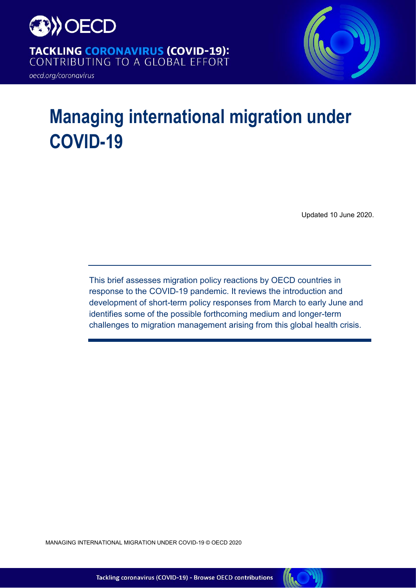

TACKLING CORONAVIRUS (COVID-19):<br>CONTRIBUTING TO A GLOBAL EFFORT

oecd.org/coronavirus



# **Managing international migration under COVID-19**

Updated 10 June 2020.

This brief assesses migration policy reactions by OECD countries in response to the COVID-19 pandemic. It reviews the introduction and development of short-term policy responses from March to early June and identifies some of the possible forthcoming medium and longer-term challenges to migration management arising from this global health crisis.

MANAGING INTERNATIONAL MIGRATION UNDER COVID-19 © OECD 2020

Tackling coronavirus (COVID-19) - Browse OECD contributions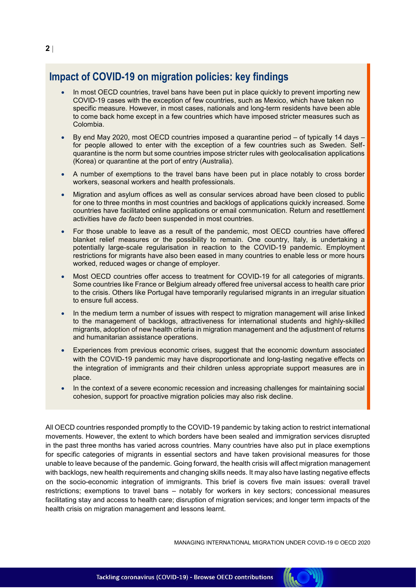## **Impact of COVID-19 on migration policies: key findings**

- In most OECD countries, travel bans have been put in place quickly to prevent importing new COVID-19 cases with the exception of few countries, such as Mexico, which have taken no specific measure. However, in most cases, nationals and long-term residents have been able to come back home except in a few countries which have imposed stricter measures such as Colombia.
- By end May 2020, most OECD countries imposed a quarantine period of typically 14 days for people allowed to enter with the exception of a few countries such as Sweden. Selfquarantine is the norm but some countries impose stricter rules with geolocalisation applications (Korea) or quarantine at the port of entry (Australia).
- A number of exemptions to the travel bans have been put in place notably to cross border workers, seasonal workers and health professionals.
- Migration and asylum offices as well as consular services abroad have been closed to public for one to three months in most countries and backlogs of applications quickly increased. Some countries have facilitated online applications or email communication. Return and resettlement activities have *de facto* been suspended in most countries.
- For those unable to leave as a result of the pandemic, most OECD countries have offered blanket relief measures or the possibility to remain. One country, Italy, is undertaking a potentially large-scale regularisation in reaction to the COVID-19 pandemic. Employment restrictions for migrants have also been eased in many countries to enable less or more hours worked, reduced wages or change of employer.
- Most OECD countries offer access to treatment for COVID-19 for all categories of migrants. Some countries like France or Belgium already offered free universal access to health care prior to the crisis. Others like Portugal have temporarily regularised migrants in an irregular situation to ensure full access.
- In the medium term a number of issues with respect to migration management will arise linked to the management of backlogs, attractiveness for international students and highly-skilled migrants, adoption of new health criteria in migration management and the adjustment of returns and humanitarian assistance operations.
- Experiences from previous economic crises, suggest that the economic downturn associated with the COVID-19 pandemic may have disproportionate and long-lasting negative effects on the integration of immigrants and their children unless appropriate support measures are in place.
- In the context of a severe economic recession and increasing challenges for maintaining social cohesion, support for proactive migration policies may also risk decline.

All OECD countries responded promptly to the COVID-19 pandemic by taking action to restrict international movements. However, the extent to which borders have been sealed and immigration services disrupted in the past three months has varied across countries. Many countries have also put in place exemptions for specific categories of migrants in essential sectors and have taken provisional measures for those unable to leave because of the pandemic. Going forward, the health crisis will affect migration management with backlogs, new health requirements and changing skills needs. It may also have lasting negative effects on the socio-economic integration of immigrants. This brief is covers five main issues: overall travel restrictions; exemptions to travel bans – notably for workers in key sectors; concessional measures facilitating stay and access to health care; disruption of migration services; and longer term impacts of the health crisis on migration management and lessons learnt.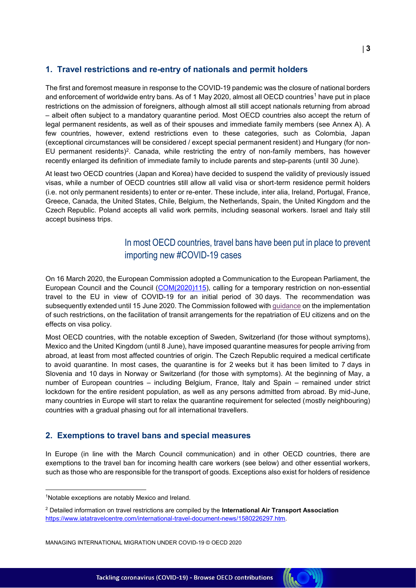#### **1. Travel restrictions and re-entry of nationals and permit holders**

The first and foremost measure in response to the COVID-19 pandemic was the closure of national borders and enforcement of worldwide entry bans. As of 1 May 2020, almost all OECD countries<sup>1</sup> have put in place restrictions on the admission of foreigners, although almost all still accept nationals returning from abroad – albeit often subject to a mandatory quarantine period. Most OECD countries also accept the return of legal permanent residents, as well as of their spouses and immediate family members (see [Annex A\)](#page-9-0). A few countries, however, extend restrictions even to these categories, such as Colombia, Japan (exceptional circumstances will be considered / except special permanent resident) and Hungary (for non-EU permanent residents)<sup>2</sup>. Canada, while restricting the entry of non-family members, has however recently enlarged its definition of immediate family to include parents and step-parents (until 30 June).

At least two OECD countries (Japan and Korea) have decided to suspend the validity of previously issued visas, while a number of OECD countries still allow all valid visa or short-term residence permit holders (i.e. not only permanent residents) to enter or re-enter. These include, inter alia, Ireland, Portugal, France, Greece, Canada, the United States, Chile, Belgium, the Netherlands, Spain, the United Kingdom and the Czech Republic. Poland accepts all valid work permits, including seasonal workers. Israel and Italy still accept business trips.

## In most OECD countries, travel bans have been put in place to prevent importing new #COVID-19 cases

On 16 March 2020, the European Commission adopted a Communication to the European Parliament, the European Council and the Council [\(COM\(2020\)115\)](https://ec.europa.eu/home-affairs/news/20200330_covid-19-guidance-implementing-temporary-restriction-non-essential-travel-eu_en), calling for a temporary restriction on non-essential travel to the EU in view of COVID-19 for an initial period of 30 days. The recommendation was subsequently extended until 15 June 2020. The Commission followed wit[h guidance](https://eur-lex.europa.eu/legal-content/EN/TXT/PDF/?uri=CELEX:52020XC0330(02)) on the implementation of such restrictions, on the facilitation of transit arrangements for the repatriation of EU citizens and on the effects on visa policy.

Most OECD countries, with the notable exception of Sweden, Switzerland (for those without symptoms), Mexico and the United Kingdom (until 8 June), have imposed quarantine measures for people arriving from abroad, at least from most affected countries of origin. The Czech Republic required a medical certificate to avoid quarantine. In most cases, the quarantine is for 2 weeks but it has been limited to 7 days in Slovenia and 10 days in Norway or Switzerland (for those with symptoms). At the beginning of May, a number of European countries – including Belgium, France, Italy and Spain – remained under strict lockdown for the entire resident population, as well as any persons admitted from abroad. By mid-June, many countries in Europe will start to relax the quarantine requirement for selected (mostly neighbouring) countries with a gradual phasing out for all international travellers.

#### **2. Exemptions to travel bans and special measures**

In Europe (in line with the March Council communication) and in other OECD countries, there are exemptions to the travel ban for incoming health care workers (see below) and other essential workers, such as those who are responsible for the transport of goods. Exceptions also exist for holders of residence

<sup>&</sup>lt;sup>1</sup>Notable exceptions are notably Mexico and Ireland.

<sup>2</sup> Detailed information on travel restrictions are compiled by the **International Air Transport Association** [https://www.iatatravelcentre.com/international-travel-document-news/1580226297.htm.](https://www.iatatravelcentre.com/international-travel-document-news/1580226297.htm)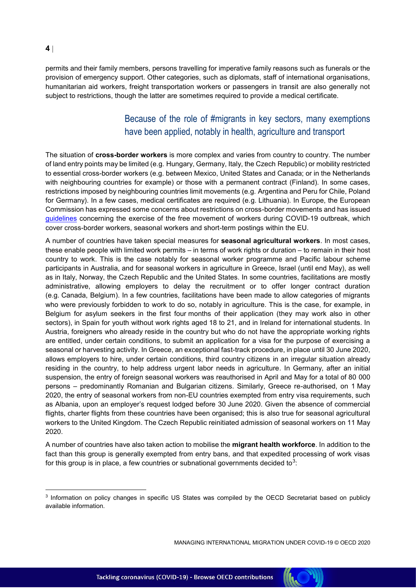permits and their family members, persons travelling for imperative family reasons such as funerals or the provision of emergency support. Other categories, such as diplomats, staff of international organisations, humanitarian aid workers, freight transportation workers or passengers in transit are also generally not subject to restrictions, though the latter are sometimes required to provide a medical certificate.

## Because of the role of #migrants in key sectors, many exemptions have been applied, notably in health, agriculture and transport

The situation of **cross-border workers** is more complex and varies from country to country. The number of land entry points may be limited (e.g. Hungary, Germany, Italy, the Czech Republic) or mobility restricted to essential cross-border workers (e.g. between Mexico, United States and Canada; or in the Netherlands with neighbouring countries for example) or those with a permanent contract (Finland). In some cases, restrictions imposed by neighbouring countries limit movements (e.g. Argentina and Peru for Chile, Poland for Germany). In a few cases, medical certificates are required (e.g. Lithuania). In Europe, the European Commission has expressed some concerns about restrictions on cross-border movements and has issued [guidelines](https://eur-lex.europa.eu/legal-content/EN/TXT/PDF/?uri=CELEX:52020XC0330(03)&from=EN) concerning the exercise of the free movement of workers during COVID-19 outbreak, which cover cross-border workers, seasonal workers and short-term postings within the EU.

A number of countries have taken special measures for **seasonal agricultural workers**. In most cases, these enable people with limited work permits – in terms of work rights or duration – to remain in their host country to work. This is the case notably for seasonal worker programme and Pacific labour scheme participants in Australia, and for seasonal workers in agriculture in Greece, Israel (until end May), as well as in Italy, Norway, the Czech Republic and the United States. In some countries, facilitations are mostly administrative, allowing employers to delay the recruitment or to offer longer contract duration (e.g. Canada, Belgium). In a few countries, facilitations have been made to allow categories of migrants who were previously forbidden to work to do so, notably in agriculture. This is the case, for example, in Belgium for asylum seekers in the first four months of their application (they may work also in other sectors), in Spain for youth without work rights aged 18 to 21, and in Ireland for international students. In Austria, foreigners who already reside in the country but who do not have the appropriate working rights are entitled, under certain conditions, to submit an application for a visa for the purpose of exercising a seasonal or harvesting activity. In Greece, an exceptional fast-track procedure, in place until 30 June 2020, allows employers to hire, under certain conditions, third country citizens in an irregular situation already residing in the country, to help address urgent labor needs in agriculture. In Germany, after an initial suspension, the entry of foreign seasonal workers was reauthorised in April and May for a total of 80 000 persons – predominantly Romanian and Bulgarian citizens. Similarly, Greece re-authorised, on 1 May 2020, the entry of seasonal workers from non-EU countries exempted from entry visa requirements, such as Albania, upon an employer's request lodged before 30 June 2020. Given the absence of commercial flights, charter flights from these countries have been organised; this is also true for seasonal agricultural workers to the United Kingdom. The Czech Republic reinitiated admission of seasonal workers on 11 May 2020.

A number of countries have also taken action to mobilise the **migrant health workforce**. In addition to the fact than this group is generally exempted from entry bans, and that expedited processing of work visas for this group is in place, a few countries or subnational governments decided to $^3\!$ 

MANAGING INTERNATIONAL MIGRATION UNDER COVID-19 © OECD 2020



<sup>3</sup> Information on policy changes in specific US States was compiled by the OECD Secretariat based on publicly available information.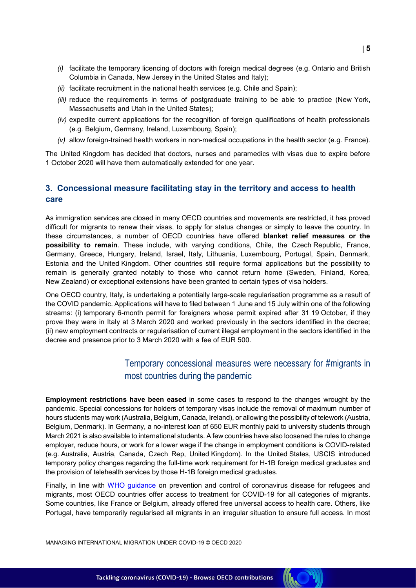- *(i)* facilitate the temporary licencing of doctors with foreign medical degrees (e.g. Ontario and British Columbia in Canada, New Jersey in the United States and Italy);
- *(ii)* facilitate recruitment in the national health services (e.g. Chile and Spain);
- *(iii)* reduce the requirements in terms of postgraduate training to be able to practice (New York, Massachusetts and Utah in the United States);
- *(iv)* expedite current applications for the recognition of foreign qualifications of health professionals (e.g. Belgium, Germany, Ireland, Luxembourg, Spain);
- *(v)* allow foreign-trained health workers in non-medical occupations in the health sector (e.g. France).

The United Kingdom has decided that doctors, nurses and paramedics with visas due to expire before 1 October 2020 will have them automatically extended for one year.

#### **3. Concessional measure facilitating stay in the territory and access to health care**

As immigration services are closed in many OECD countries and movements are restricted, it has proved difficult for migrants to renew their visas, to apply for status changes or simply to leave the country. In these circumstances, a number of OECD countries have offered **blanket relief measures or the possibility to remain**. These include, with varying conditions, Chile, the Czech Republic, France, Germany, Greece, Hungary, Ireland, Israel, Italy, Lithuania, Luxembourg, Portugal, Spain, Denmark, Estonia and the United Kingdom. Other countries still require formal applications but the possibility to remain is generally granted notably to those who cannot return home (Sweden, Finland, Korea, New Zealand) or exceptional extensions have been granted to certain types of visa holders.

One OECD country, Italy, is undertaking a potentially large-scale regularisation programme as a result of the COVID pandemic. Applications will have to filed between 1 June and 15 July within one of the following streams: (i) temporary 6-month permit for foreigners whose permit expired after 31 19 October, if they prove they were in Italy at 3 March 2020 and worked previously in the sectors identified in the decree; (ii) new employment contracts or regularisation of current illegal employment in the sectors identified in the decree and presence prior to 3 March 2020 with a fee of EUR 500.

## Temporary concessional measures were necessary for #migrants in most countries during the pandemic

**KO** 

**Employment restrictions have been eased** in some cases to respond to the changes wrought by the pandemic. Special concessions for holders of temporary visas include the removal of maximum number of hours students may work (Australia, Belgium, Canada, Ireland), or allowing the possibility of telework (Austria, Belgium, Denmark). In Germany, a no-interest loan of 650 EUR monthly paid to university students through March 2021 is also available to international students. A few countries have also loosened the rules to change employer, reduce hours, or work for a lower wage if the change in employment conditions is COVID-related (e.g. Australia, Austria, Canada, Czech Rep, United Kingdom). In the United States, USCIS introduced temporary policy changes regarding the full-time work requirement for H-1B foreign medical graduates and the provision of telehealth services by those H-1B foreign medical graduates.

Finally, in line with [WHO guidance](https://www.who.int/publications-detail/preparedness-prevention-and-control-of-coronavirus-disease-(covid-19)-for-refugees-and-migrants-in-non-camp-settings) on prevention and control of coronavirus disease for refugees and migrants, most OECD countries offer access to treatment for COVID-19 for all categories of migrants. Some countries, like France or Belgium, already offered free universal access to health care. Others, like Portugal, have temporarily regularised all migrants in an irregular situation to ensure full access. In most

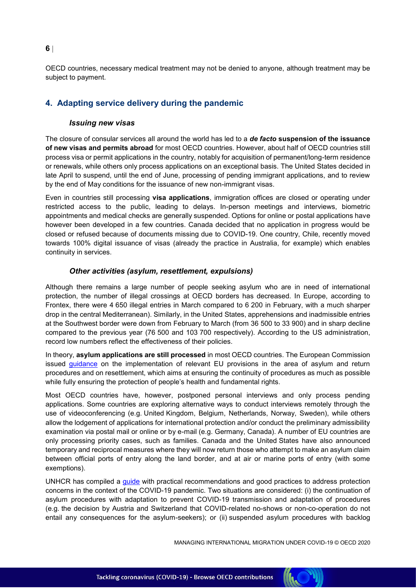**6**

OECD countries, necessary medical treatment may not be denied to anyone, although treatment may be subject to payment.

### **4. Adapting service delivery during the pandemic**

#### *Issuing new visas*

The closure of consular services all around the world has led to a *de facto* **suspension of the issuance of new visas and permits abroad** for most OECD countries. However, about half of OECD countries still process visa or permit applications in the country, notably for acquisition of permanent/long-term residence or renewals, while others only process applications on an exceptional basis. The United States decided in late April to suspend, until the end of June, processing of pending immigrant applications, and to review by the end of May conditions for the issuance of new non-immigrant visas.

Even in countries still processing **visa applications**, immigration offices are closed or operating under restricted access to the public, leading to delays. In-person meetings and interviews, biometric appointments and medical checks are generally suspended. Options for online or postal applications have however been developed in a few countries. Canada decided that no application in progress would be closed or refused because of documents missing due to COVID-19. One country, Chile, recently moved towards 100% digital issuance of visas (already the practice in Australia, for example) which enables continuity in services.

#### *Other activities (asylum, resettlement, expulsions)*

Although there remains a large number of people seeking asylum who are in need of international protection, the number of illegal crossings at OECD borders has decreased. In Europe, according to Frontex, there were 4 650 illegal entries in March compared to 6 200 in February, with a much sharper drop in the central Mediterranean). Similarly, in the United States, apprehensions and inadmissible entries at the Southwest border were down from February to March (from 36 500 to 33 900) and in sharp decline compared to the previous year (76 500 and 103 700 respectively). According to the US administration, record low numbers reflect the effectiveness of their policies.

In theory, **asylum applications are still processed** in most OECD countries. The European Commission issued [guidance](https://ec.europa.eu/info/sites/info/files/guidance-implementation-eu-provisions-asylum-retur-procedures-resettlement.pdf) on the implementation of relevant EU provisions in the area of asylum and return procedures and on resettlement, which aims at ensuring the continuity of procedures as much as possible while fully ensuring the protection of people's health and fundamental rights.

Most OECD countries have, however, postponed personal interviews and only process pending applications. Some countries are exploring alternative ways to conduct interviews remotely through the use of videoconferencing (e.g. United Kingdom, Belgium, Netherlands, Norway, Sweden), while others allow the lodgement of applications for international protection and/or conduct the preliminary admissibility examination via postal mail or online or by e-mail (e.g. Germany, Canada). A number of EU countries are only processing priority cases, such as families. Canada and the United States have also announced temporary and reciprocal measures where they will now return those who attempt to make an asylum claim between official ports of entry along the land border, and at air or marine ports of entry (with some exemptions).

UNHCR has compiled a [guide](https://data2.unhcr.org/en/documents/download/75453#_ga=2.200285549.2110033778.1588153733-669713516.1585840290) with practical recommendations and good practices to address protection concerns in the context of the COVID-19 pandemic. Two situations are considered: (i) the continuation of asylum procedures with adaptation to prevent COVID-19 transmission and adaptation of procedures (e.g. the decision by Austria and Switzerland that COVID-related no-shows or non-co-operation do not entail any consequences for the asylum-seekers); or (ii) suspended asylum procedures with backlog

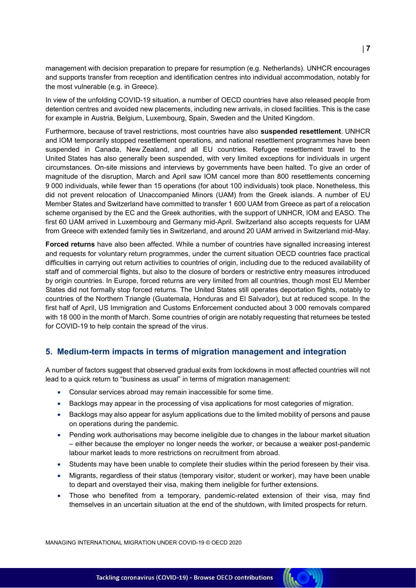management with decision preparation to prepare for resumption (e.g. Netherlands). UNHCR encourages and supports transfer from reception and identification centres into individual accommodation, notably for the most vulnerable (e.g. in Greece).

In view of the unfolding COVID-19 situation, a number of OECD countries have also released people from detention centres and avoided new placements, including new arrivals, in closed facilities. This is the case for example in Austria, Belgium, Luxembourg, Spain, Sweden and the United Kingdom.

Furthermore, because of travel restrictions, most countries have also **suspended resettlement**. UNHCR and IOM temporarily stopped resettlement operations, and national resettlement programmes have been suspended in Canada, New Zealand, and all EU countries. Refugee resettlement travel to the United States has also generally been suspended, with very limited exceptions for individuals in urgent circumstances. On-site missions and interviews by governments have been halted. To give an order of magnitude of the disruption, March and April saw IOM cancel more than 800 resettlements concerning 9 000 individuals, while fewer than 15 operations (for about 100 individuals) took place. Nonetheless, this did not prevent relocation of Unaccompanied Minors (UAM) from the Greek islands. A number of EU Member States and Switzerland have committed to transfer 1 600 UAM from Greece as part of a relocation scheme organised by the EC and the Greek authorities, with the support of UNHCR, IOM and EASO. The first 60 UAM arrived in Luxembourg and Germany mid-April. Switzerland also accepts requests for UAM from Greece with extended family ties in Switzerland, and around 20 UAM arrived in Switzerland mid-May.

**Forced returns** have also been affected. While a number of countries have signalled increasing interest and requests for voluntary return programmes, under the current situation OECD countries face practical difficulties in carrying out return activities to countries of origin, including due to the reduced availability of staff and of commercial flights, but also to the closure of borders or restrictive entry measures introduced by origin countries. In Europe, forced returns are very limited from all countries, though most EU Member States did not formally stop forced returns. The United States still operates deportation flights, notably to countries of the Northern Triangle (Guatemala, Honduras and El Salvador), but at reduced scope. In the first half of April, US Immigration and Customs Enforcement conducted about 3 000 removals compared with 18 000 in the month of March. Some countries of origin are notably requesting that returnees be tested for COVID-19 to help contain the spread of the virus.

#### **5. Medium-term impacts in terms of migration management and integration**

A number of factors suggest that observed gradual exits from lockdowns in most affected countries will not lead to a quick return to "business as usual" in terms of migration management:

- Consular services abroad may remain inaccessible for some time.
- Backlogs may appear in the processing of visa applications for most categories of migration.
- Backlogs may also appear for asylum applications due to the limited mobility of persons and pause on operations during the pandemic.
- Pending work authorisations may become ineligible due to changes in the labour market situation – either because the employer no longer needs the worker, or because a weaker post-pandemic labour market leads to more restrictions on recruitment from abroad.
- Students may have been unable to complete their studies within the period foreseen by their visa.
- Migrants, regardless of their status (temporary visitor, student or worker), may have been unable to depart and overstayed their visa, making them ineligible for further extensions.
- Those who benefited from a temporary, pandemic-related extension of their visa, may find themselves in an uncertain situation at the end of the shutdown, with limited prospects for return.

**(ICC)**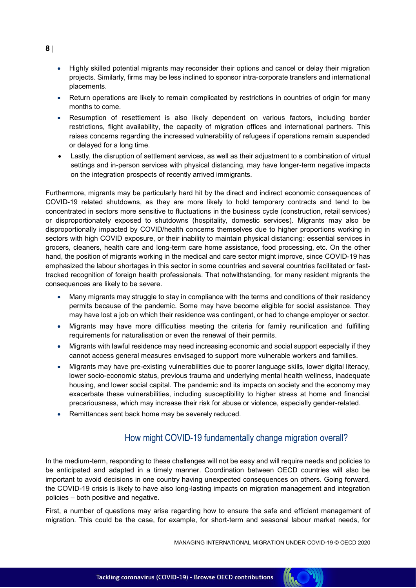- Highly skilled potential migrants may reconsider their options and cancel or delay their migration projects. Similarly, firms may be less inclined to sponsor intra-corporate transfers and international placements.
- Return operations are likely to remain complicated by restrictions in countries of origin for many months to come.
- Resumption of resettlement is also likely dependent on various factors, including border restrictions, flight availability, the capacity of migration offices and international partners. This raises concerns regarding the increased vulnerability of refugees if operations remain suspended or delayed for a long time.
- Lastly, the disruption of settlement services, as well as their adjustment to a combination of virtual settings and in-person services with physical distancing, may have longer-term negative impacts on the integration prospects of recently arrived immigrants.

Furthermore, migrants may be particularly hard hit by the direct and indirect economic consequences of COVID-19 related shutdowns, as they are more likely to hold temporary contracts and tend to be concentrated in sectors more sensitive to fluctuations in the business cycle (construction, retail services) or disproportionately exposed to shutdowns (hospitality, domestic services). Migrants may also be disproportionally impacted by COVID/health concerns themselves due to higher proportions working in sectors with high COVID exposure, or their inability to maintain physical distancing: essential services in grocers, cleaners, health care and long-term care home assistance, food processing, etc. On the other hand, the position of migrants working in the medical and care sector might improve, since COVID-19 has emphasized the labour shortages in this sector in some countries and several countries facilitated or fasttracked recognition of foreign health professionals. That notwithstanding, for many resident migrants the consequences are likely to be severe.

- Many migrants may struggle to stay in compliance with the terms and conditions of their residency permits because of the pandemic. Some may have become eligible for social assistance. They may have lost a job on which their residence was contingent, or had to change employer or sector.
- Migrants may have more difficulties meeting the criteria for family reunification and fulfilling requirements for naturalisation or even the renewal of their permits.
- Migrants with lawful residence may need increasing economic and social support especially if they cannot access general measures envisaged to support more vulnerable workers and families.
- Migrants may have pre-existing vulnerabilities due to poorer language skills, lower digital literacy, lower socio-economic status, previous trauma and underlying mental health wellness, inadequate housing, and lower social capital. The pandemic and its impacts on society and the economy may exacerbate these vulnerabilities, including susceptibility to higher stress at home and financial precariousness, which may increase their risk for abuse or violence, especially gender-related.
- Remittances sent back home may be severely reduced.

## How might COVID-19 fundamentally change migration overall?

In the medium-term, responding to these challenges will not be easy and will require needs and policies to be anticipated and adapted in a timely manner. Coordination between OECD countries will also be important to avoid decisions in one country having unexpected consequences on others. Going forward, the COVID-19 crisis is likely to have also long-lasting impacts on migration management and integration policies – both positive and negative.

First, a number of questions may arise regarding how to ensure the safe and efficient management of migration. This could be the case, for example, for short-term and seasonal labour market needs, for

MANAGING INTERNATIONAL MIGRATION UNDER COVID-19 © OECD 2020

**8**



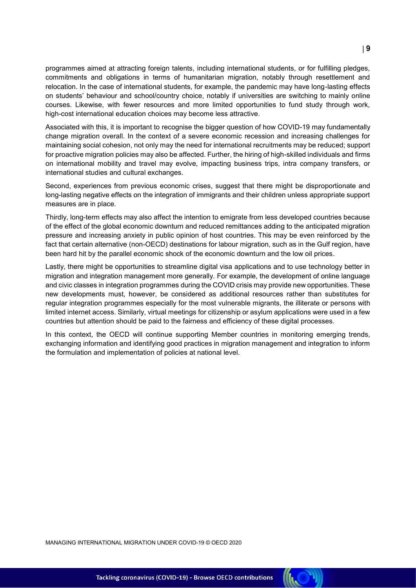programmes aimed at attracting foreign talents, including international students, or for fulfilling pledges, commitments and obligations in terms of humanitarian migration, notably through resettlement and relocation. In the case of international students, for example, the pandemic may have long-lasting effects on students' behaviour and school/country choice, notably if universities are switching to mainly online courses. Likewise, with fewer resources and more limited opportunities to fund study through work, high-cost international education choices may become less attractive.

Associated with this, it is important to recognise the bigger question of how COVID-19 may fundamentally change migration overall. In the context of a severe economic recession and increasing challenges for maintaining social cohesion, not only may the need for international recruitments may be reduced; support for proactive migration policies may also be affected. Further, the hiring of high-skilled individuals and firms on international mobility and travel may evolve, impacting business trips, intra company transfers, or international studies and cultural exchanges.

Second, experiences from previous economic crises, suggest that there might be disproportionate and long-lasting negative effects on the integration of immigrants and their children unless appropriate support measures are in place.

Thirdly, long-term effects may also affect the intention to emigrate from less developed countries because of the effect of the global economic downturn and reduced remittances adding to the anticipated migration pressure and increasing anxiety in public opinion of host countries. This may be even reinforced by the fact that certain alternative (non-OECD) destinations for labour migration, such as in the Gulf region, have been hard hit by the parallel economic shock of the economic downturn and the low oil prices.

Lastly, there might be opportunities to streamline digital visa applications and to use technology better in migration and integration management more generally. For example, the development of online language and civic classes in integration programmes during the COVID crisis may provide new opportunities. These new developments must, however, be considered as additional resources rather than substitutes for regular integration programmes especially for the most vulnerable migrants, the illiterate or persons with limited internet access. Similarly, virtual meetings for citizenship or asylum applications were used in a few countries but attention should be paid to the fairness and efficiency of these digital processes.

In this context, the OECD will continue supporting Member countries in monitoring emerging trends, exchanging information and identifying good practices in migration management and integration to inform the formulation and implementation of policies at national level.

**9**

**KO**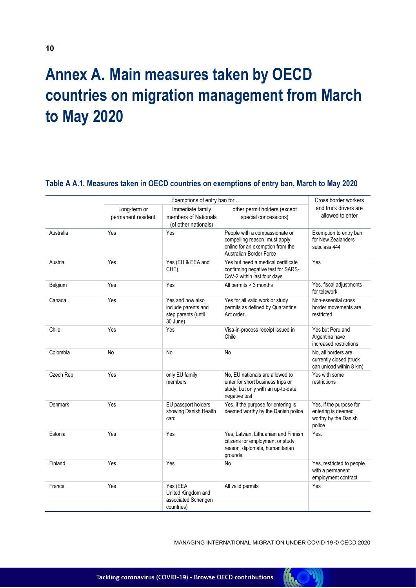## <span id="page-9-0"></span>**Annex A. Main measures taken by OECD countries on migration management from March to May 2020**

#### Exemptions of entry ban for ... The contract of the Cross border workers and truck drivers are allowed to enter Long-term or permanent resident Immediate family members of Nationals (of other nationals) other permit holders (except special concessions) Australia **Network** Yes Yes Yes People with a compassionate or compelling reason, must apply online for an exemption from the Australian Border Force Exemption to entry ban for New Zealanders subclass 444 Austria The Yes New Yes Yes (EU & EEA and CHE) Yes but need a medical certificate confirming negative test for SARS-CoV-2 within last four days Yes Belgium Yes Yes Yes All permits > 3 months Yes, fiscal adjustments for telework Canada Yes Yes Yes Research Aves and now also include parents and step parents (until 30 June) Yes for all valid work or study permits as defined by Quarantine Act order. Non-essential cross border movements are restricted Chile **The Yes** Yes Yes Yes Visa-in-process receipt issued in Chile Yes but Peru and Argentina have increased restrictions Colombia  $\overline{\phantom{a}}$  No  $\overline{\phantom{a}}$  No  $\overline{\phantom{a}}$  No  $\overline{\phantom{a}}$  No  $\overline{\phantom{a}}$  No  $\overline{\phantom{a}}$  No  $\overline{\phantom{a}}$  No  $\overline{\phantom{a}}$  No  $\overline{\phantom{a}}$  No  $\overline{\phantom{a}}$  No  $\overline{\phantom{a}}$  No  $\overline{\phantom{a}}$  No  $\overline{\phantom{a}}$  No  $\overline{\phantom{a}}$  No  $\over$ currently closed (truck can unload within 8 km) Czech Rep.  $\vert$  Yes  $\vert$  only EU family members No, EU nationals are allowed to enter for short business trips or study, but only with an up-to-date negative test Yes with some restrictions Denmark Yes Yes EU passport holders showing Danish Health card Yes, if the purpose for entering is deemed worthy by the Danish police Yes, if the purpose for entering is deemed worthy by the Danish police Estonia Yes Yes Yes, Latvian, Lithuanian and Finnish citizens for employment or study reason, diplomats, humanitarian grounds. Yes. Finland Tes Yes Yes No No Yes, restricted to people with a permanent employment contract France Yes Yes Yes Yes (EEA, United Kingdom and associated Schengen countries) All valid permits Yes

#### **Table A A.1. Measures taken in OECD countries on exemptions of entry ban, March to May 2020**

MANAGING INTERNATIONAL MIGRATION UNDER COVID-19 © OECD 2020

 $\mathcal{A}$ 

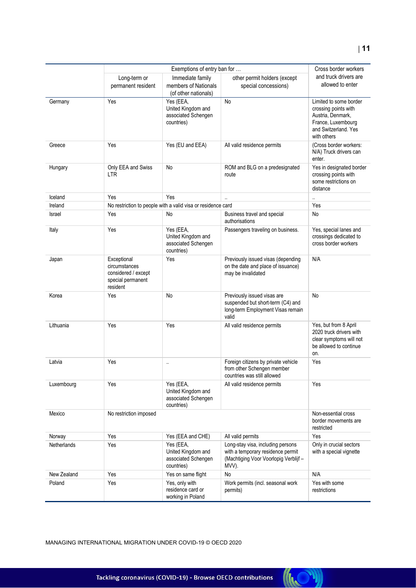|             | Exemptions of entry ban for                                                          |                                                                      |                                                                                                                          | Cross border workers                                                                                                             |
|-------------|--------------------------------------------------------------------------------------|----------------------------------------------------------------------|--------------------------------------------------------------------------------------------------------------------------|----------------------------------------------------------------------------------------------------------------------------------|
|             | Long-term or<br>permanent resident                                                   | Immediate family<br>members of Nationals<br>(of other nationals)     | other permit holders (except<br>special concessions)                                                                     | and truck drivers are<br>allowed to enter                                                                                        |
| Germany     | Yes                                                                                  | Yes (EEA,<br>United Kingdom and<br>associated Schengen<br>countries) | No                                                                                                                       | Limited to some border<br>crossing points with<br>Austria, Denmark,<br>France, Luxembourg<br>and Switzerland. Yes<br>with others |
| Greece      | Yes                                                                                  | Yes (EU and EEA)                                                     | All valid residence permits                                                                                              | (Cross border workers:<br>N/A) Truck drivers can<br>enter.                                                                       |
| Hungary     | Only EEA and Swiss<br>LTR                                                            | <b>No</b>                                                            | ROM and BLG on a predesignated<br>route                                                                                  | Yes in designated border<br>crossing points with<br>some restrictions on<br>distance                                             |
| Iceland     | Yes                                                                                  | Yes                                                                  | $\ddot{\phantom{a}}$                                                                                                     |                                                                                                                                  |
| Ireland     |                                                                                      | No restriction to people with a valid visa or residence card         |                                                                                                                          | Yes                                                                                                                              |
| Israel      | Yes                                                                                  | No                                                                   | Business travel and special<br>authorisations                                                                            | No                                                                                                                               |
| Italy       | Yes                                                                                  | Yes (EEA,<br>United Kingdom and<br>associated Schengen<br>countries) | Passengers traveling on business.                                                                                        | Yes, special lanes and<br>crossings dedicated to<br>cross border workers                                                         |
| Japan       | Exceptional<br>circumstances<br>considered / except<br>special permanent<br>resident | Yes                                                                  | Previously issued visas (depending<br>on the date and place of issuance)<br>may be invalidated                           | N/A                                                                                                                              |
| Korea       | Yes                                                                                  | No                                                                   | Previously issued visas are<br>suspended but short-term (C4) and<br>long-term Employment Visas remain<br>valid           | No                                                                                                                               |
| Lithuania   | Yes                                                                                  | Yes                                                                  | All valid residence permits                                                                                              | Yes, but from 8 April<br>2020 truck drivers with<br>clear symptoms will not<br>be allowed to continue<br>on.                     |
| Latvia      | Yes                                                                                  | $\ddot{\phantom{0}}$                                                 | Foreign citizens by private vehicle<br>from other Schengen member<br>countries was still allowed                         | Yes                                                                                                                              |
| Luxembourg  | Yes                                                                                  | Yes (EEA,<br>United Kingdom and<br>associated Schengen<br>countries) | All valid residence permits                                                                                              | Yes                                                                                                                              |
| Mexico      | No restriction imposed                                                               |                                                                      |                                                                                                                          | Non-essential cross<br>border movements are<br>restricted                                                                        |
| Norway      | Yes                                                                                  | Yes (EEA and CHE)                                                    | All valid permits                                                                                                        | Yes                                                                                                                              |
| Netherlands | Yes                                                                                  | Yes (EEA,<br>United Kingdom and<br>associated Schengen<br>countries) | Long-stay visa, including persons<br>with a temporary residence permit<br>(Machtiging Voor Voorlopig Verblijf -<br>MVV). | Only in crucial sectors<br>with a special vignette                                                                               |
| New Zealand | Yes                                                                                  | Yes on same flight                                                   | <b>No</b>                                                                                                                | N/A                                                                                                                              |
| Poland      | Yes                                                                                  | Yes, only with<br>residence card or<br>working in Poland             | Work permits (incl. seasonal work<br>permits)                                                                            | Yes with some<br>restrictions                                                                                                    |

**((CC)**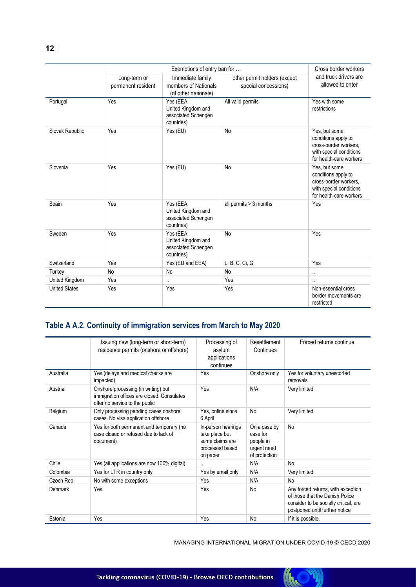|                      |                                    | Exemptions of entry ban for                                          |                                                      | Cross border workers                                                                                                |
|----------------------|------------------------------------|----------------------------------------------------------------------|------------------------------------------------------|---------------------------------------------------------------------------------------------------------------------|
|                      | Long-term or<br>permanent resident | Immediate family<br>members of Nationals<br>(of other nationals)     | other permit holders (except<br>special concessions) | and truck drivers are<br>allowed to enter                                                                           |
| Portugal             | Yes                                | Yes (EEA,<br>United Kingdom and<br>associated Schengen<br>countries) | All valid permits                                    | Yes with some<br>restrictions                                                                                       |
| Slovak Republic      | Yes                                | Yes (EU)                                                             | <b>No</b>                                            | Yes, but some<br>conditions apply to<br>cross-border workers,<br>with special conditions<br>for health-care workers |
| Slovenia             | Yes                                | Yes (EU)                                                             | No                                                   | Yes, but some<br>conditions apply to<br>cross-border workers,<br>with special conditions<br>for health-care workers |
| Spain                | Yes                                | Yes (EEA,<br>United Kingdom and<br>associated Schengen<br>countries) | all permits > 3 months                               | Yes                                                                                                                 |
| Sweden               | Yes                                | Yes (EEA,<br>United Kingdom and<br>associated Schengen<br>countries) | <b>No</b>                                            | Yes                                                                                                                 |
| Switzerland          | Yes                                | Yes (EU and EEA)                                                     | L, B, C, Ci, G                                       | Yes                                                                                                                 |
| Turkey               | No                                 | No                                                                   | No                                                   | $\cdot$ .                                                                                                           |
| United Kingdom       | Yes                                | $\ddot{\phantom{a}}$                                                 | Yes                                                  |                                                                                                                     |
| <b>United States</b> | Yes                                | Yes                                                                  | Yes                                                  | Non-essential cross<br>border movements are<br>restricted                                                           |

## **Table A A.2. Continuity of immigration services from March to May 2020**

|            | Issuing new (long-term or short-term)<br>residence permits (onshore or offshore)                                    | Processing of<br>asylum<br>applications<br>continues                                   | Resettlement<br>Continues                                             | Forced returns continue                                                                                                                          |
|------------|---------------------------------------------------------------------------------------------------------------------|----------------------------------------------------------------------------------------|-----------------------------------------------------------------------|--------------------------------------------------------------------------------------------------------------------------------------------------|
| Australia  | Yes (delays and medical checks are<br>impacted)                                                                     | Yes                                                                                    | Onshore only                                                          | Yes for voluntary unescorted<br>removals                                                                                                         |
| Austria    | Onshore processing (in writing) but<br>immigration offices are closed. Consulates<br>offer no service to the public | Yes                                                                                    | N/A                                                                   | Very limited                                                                                                                                     |
| Belgium    | Only processing pending cases onshore<br>cases. No visa application offshore                                        | Yes, online since<br>6 April                                                           | No                                                                    | Very limited                                                                                                                                     |
| Canada     | Yes for both permanent and temporary (no<br>case closed or refused due to lack of<br>document)                      | In-person hearings<br>take place but<br>some claims are<br>processed based<br>on paper | On a case by<br>case for<br>people in<br>urgent need<br>of protection | <b>No</b>                                                                                                                                        |
| Chile      | Yes (all applications are now 100% digital)                                                                         | $\ddotsc$                                                                              | N/A                                                                   | No                                                                                                                                               |
| Colombia   | Yes for LTR in country only                                                                                         | Yes by email only                                                                      | N/A                                                                   | Very limited                                                                                                                                     |
| Czech Rep. | No with some exceptions                                                                                             | Yes                                                                                    | N/A                                                                   | No                                                                                                                                               |
| Denmark    | Yes                                                                                                                 | Yes                                                                                    | No                                                                    | Any forced returns, with exception<br>of those that the Danish Police<br>consider to be socially critical, are<br>postponed until further notice |
| Estonia    | Yes.                                                                                                                | Yes                                                                                    | No                                                                    | If it is possible.                                                                                                                               |

MANAGING INTERNATIONAL MIGRATION UNDER COVID-19 © OECD 2020

**(ICC)** 

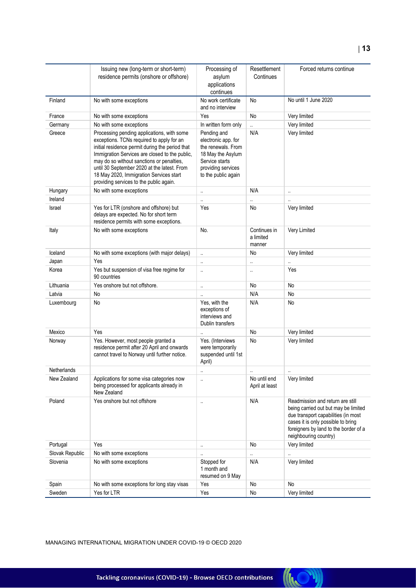|                 | Issuing new (long-term or short-term)<br>residence permits (onshore or offshore)                                                                                                                                                                                                                                                                                               | Processing of<br>asylum<br>applications<br>continues                                                                                         | Resettlement<br>Continues           | Forced returns continue                                                                                                                                                                                                 |
|-----------------|--------------------------------------------------------------------------------------------------------------------------------------------------------------------------------------------------------------------------------------------------------------------------------------------------------------------------------------------------------------------------------|----------------------------------------------------------------------------------------------------------------------------------------------|-------------------------------------|-------------------------------------------------------------------------------------------------------------------------------------------------------------------------------------------------------------------------|
| Finland         | No with some exceptions                                                                                                                                                                                                                                                                                                                                                        | No work certificate<br>and no interview                                                                                                      | No                                  | No until 1 June 2020                                                                                                                                                                                                    |
| France          | No with some exceptions                                                                                                                                                                                                                                                                                                                                                        | Yes                                                                                                                                          | No                                  | Very limited                                                                                                                                                                                                            |
| Germany         | No with some exceptions                                                                                                                                                                                                                                                                                                                                                        | In written form only                                                                                                                         | $\ddotsc$                           | Very limited                                                                                                                                                                                                            |
| Greece          | Processing pending applications, with some<br>exceptions. TCNs required to apply for an<br>initial residence permit during the period that<br>Immigration Services are closed to the public,<br>may do so without sanctions or penalties,<br>until 30 September 2020 at the latest. From<br>18 May 2020, Immigration Services start<br>providing services to the public again. | Pending and<br>electronic app. for<br>the renewals. From<br>18 May the Asylum<br>Service starts<br>providing services<br>to the public again | N/A                                 | Very limited                                                                                                                                                                                                            |
| Hungary         | No with some exceptions                                                                                                                                                                                                                                                                                                                                                        |                                                                                                                                              | N/A                                 | $\ddotsc$                                                                                                                                                                                                               |
| Ireland         |                                                                                                                                                                                                                                                                                                                                                                                |                                                                                                                                              |                                     |                                                                                                                                                                                                                         |
| Israel          | Yes for LTR (onshore and offshore) but<br>delays are expected. No for short term<br>residence permits with some exceptions.                                                                                                                                                                                                                                                    | Yes                                                                                                                                          | No                                  | Very limited                                                                                                                                                                                                            |
| Italy           | No with some exceptions                                                                                                                                                                                                                                                                                                                                                        | No.                                                                                                                                          | Continues in<br>a limited<br>manner | Very Limited                                                                                                                                                                                                            |
| Iceland         | No with some exceptions (with major delays)                                                                                                                                                                                                                                                                                                                                    | $\ddot{\phantom{a}}$                                                                                                                         | No                                  | Very limited                                                                                                                                                                                                            |
| Japan           | Yes                                                                                                                                                                                                                                                                                                                                                                            | $\ddot{\phantom{a}}$                                                                                                                         | $\ldots$                            |                                                                                                                                                                                                                         |
| Korea           | Yes but suspension of visa free regime for<br>90 countries                                                                                                                                                                                                                                                                                                                     | $\ddot{\phantom{a}}$                                                                                                                         | $\ldots$                            | Yes                                                                                                                                                                                                                     |
| Lithuania       | Yes onshore but not offshore.                                                                                                                                                                                                                                                                                                                                                  | $\ddotsc$                                                                                                                                    | No                                  | No                                                                                                                                                                                                                      |
| Latvia          | No                                                                                                                                                                                                                                                                                                                                                                             |                                                                                                                                              | N/A                                 | No                                                                                                                                                                                                                      |
| Luxembourg      | No                                                                                                                                                                                                                                                                                                                                                                             | Yes, with the<br>exceptions of<br>interviews and<br>Dublin transfers                                                                         | N/A                                 | No                                                                                                                                                                                                                      |
| Mexico          | Yes                                                                                                                                                                                                                                                                                                                                                                            |                                                                                                                                              | No                                  | Very limited                                                                                                                                                                                                            |
| Norway          | Yes. However, most people granted a<br>residence permit after 20 April and onwards<br>cannot travel to Norway until further notice.                                                                                                                                                                                                                                            | Yes. (Interviews<br>were temporarily<br>suspended until 1st<br>April)                                                                        | No                                  | Very limited                                                                                                                                                                                                            |
| Netherlands     |                                                                                                                                                                                                                                                                                                                                                                                | $\ddotsc$                                                                                                                                    | $\ddot{\phantom{a}}$                | $\ddotsc$                                                                                                                                                                                                               |
| New Zealand     | Applications for some visa categories now<br>being processed for applicants already in<br>New Zealand                                                                                                                                                                                                                                                                          | $\ddot{\phantom{a}}$                                                                                                                         | No until end<br>April at least      | Very limited                                                                                                                                                                                                            |
| Poland          | Yes onshore but not offshore                                                                                                                                                                                                                                                                                                                                                   | $\cdot$ .                                                                                                                                    | N/A                                 | Readmission and return are still<br>being carried out but may be limited<br>due transport capabilities (in most<br>cases it is only possible to bring<br>foreigners by land to the border of a<br>neighbouring country) |
| Portugal        | Yes                                                                                                                                                                                                                                                                                                                                                                            | $\cdot$ .                                                                                                                                    | No                                  | Very limited                                                                                                                                                                                                            |
| Slovak Republic | No with some exceptions                                                                                                                                                                                                                                                                                                                                                        |                                                                                                                                              | $\ldots$                            | $\ddotsc$                                                                                                                                                                                                               |
| Slovenia        | No with some exceptions                                                                                                                                                                                                                                                                                                                                                        | Stopped for<br>1 month and<br>resumed on 9 May                                                                                               | N/A                                 | Very limited                                                                                                                                                                                                            |
| Spain           | No with some exceptions for long stay visas                                                                                                                                                                                                                                                                                                                                    | Yes                                                                                                                                          | No                                  | No                                                                                                                                                                                                                      |
| Sweden          | Yes for LTR                                                                                                                                                                                                                                                                                                                                                                    | Yes                                                                                                                                          | No                                  | Very limited                                                                                                                                                                                                            |
|                 |                                                                                                                                                                                                                                                                                                                                                                                |                                                                                                                                              |                                     |                                                                                                                                                                                                                         |

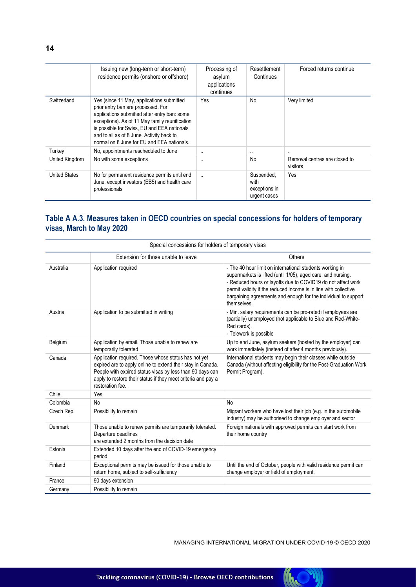|                      | Issuing new (long-term or short-term)<br>residence permits (onshore or offshore)                                                                                                                                                                                                                                            | Processing of<br>asylum<br>applications<br>continues | Resettlement<br>Continues                           | Forced returns continue                   |
|----------------------|-----------------------------------------------------------------------------------------------------------------------------------------------------------------------------------------------------------------------------------------------------------------------------------------------------------------------------|------------------------------------------------------|-----------------------------------------------------|-------------------------------------------|
| Switzerland          | Yes (since 11 May, applications submitted<br>prior entry ban are processed. For<br>applications submitted after entry ban: some<br>exceptions). As of 11 May family reunification<br>is possible for Swiss, EU and EEA nationals<br>and to all as of 8 June. Activity back to<br>normal on 8 June for EU and EEA nationals. | Yes                                                  | <b>No</b>                                           | Very limited                              |
| Turkey               | No, appointments rescheduled to June                                                                                                                                                                                                                                                                                        | $\ddotsc$                                            |                                                     |                                           |
| United Kingdom       | No with some exceptions                                                                                                                                                                                                                                                                                                     | $\cdot$ .                                            | <b>No</b>                                           | Removal centres are closed to<br>visitors |
| <b>United States</b> | No for permanent residence permits until end<br>June, except investors (EB5) and health care<br>professionals                                                                                                                                                                                                               | $\cdot$                                              | Suspended,<br>with<br>exceptions in<br>urgent cases | Yes                                       |

#### **Table A A.3. Measures taken in OECD countries on special concessions for holders of temporary visas, March to May 2020**

| Special concessions for holders of temporary visas |                                                                                                                                                                                                                                                                       |                                                                                                                                                                                                                                                                                                                                               |  |
|----------------------------------------------------|-----------------------------------------------------------------------------------------------------------------------------------------------------------------------------------------------------------------------------------------------------------------------|-----------------------------------------------------------------------------------------------------------------------------------------------------------------------------------------------------------------------------------------------------------------------------------------------------------------------------------------------|--|
|                                                    | Extension for those unable to leave                                                                                                                                                                                                                                   | Others                                                                                                                                                                                                                                                                                                                                        |  |
| Australia                                          | Application required                                                                                                                                                                                                                                                  | - The 40 hour limit on international students working in<br>supermarkets is lifted (until 1/05), aged care, and nursing.<br>- Reduced hours or layoffs due to COVID19 do not affect work<br>permit validity if the reduced income is in line with collective<br>bargaining agreements and enough for the individual to support<br>themselves. |  |
| Austria                                            | Application to be submitted in writing                                                                                                                                                                                                                                | - Min. salary requirements can be pro-rated if employees are<br>(partially) unemployed (not applicable to Blue and Red-White-<br>Red cards).<br>- Telework is possible                                                                                                                                                                        |  |
| Belgium                                            | Application by email. Those unable to renew are<br>temporarily tolerated                                                                                                                                                                                              | Up to end June, asylum seekers (hosted by the employer) can<br>work immediately (instead of after 4 months previously).                                                                                                                                                                                                                       |  |
| Canada                                             | Application required. Those whose status has not yet<br>expired are to apply online to extend their stay in Canada.<br>People with expired status visas by less than 90 days can<br>apply to restore their status if they meet criteria and pay a<br>restoration fee. | International students may begin their classes while outside<br>Canada (without affecting eligibility for the Post-Graduation Work<br>Permit Program).                                                                                                                                                                                        |  |
| Chile                                              | Yes                                                                                                                                                                                                                                                                   |                                                                                                                                                                                                                                                                                                                                               |  |
| Colombia                                           | <b>No</b>                                                                                                                                                                                                                                                             | No                                                                                                                                                                                                                                                                                                                                            |  |
| Czech Rep.                                         | Possibility to remain                                                                                                                                                                                                                                                 | Migrant workers who have lost their job (e.g. in the automobile<br>industry) may be authorised to change employer and sector                                                                                                                                                                                                                  |  |
| Denmark                                            | Those unable to renew permits are temporarily tolerated.<br>Departure deadlines<br>are extended 2 months from the decision date                                                                                                                                       | Foreign nationals with approved permits can start work from<br>their home country                                                                                                                                                                                                                                                             |  |
| Estonia                                            | Extended 10 days after the end of COVID-19 emergency<br>period                                                                                                                                                                                                        |                                                                                                                                                                                                                                                                                                                                               |  |
| Finland                                            | Exceptional permits may be issued for those unable to<br>return home, subject to self-sufficiency                                                                                                                                                                     | Until the end of October, people with valid residence permit can<br>change employer or field of employment.                                                                                                                                                                                                                                   |  |
| France                                             | 90 days extension                                                                                                                                                                                                                                                     |                                                                                                                                                                                                                                                                                                                                               |  |
| Germany                                            | Possibility to remain                                                                                                                                                                                                                                                 |                                                                                                                                                                                                                                                                                                                                               |  |

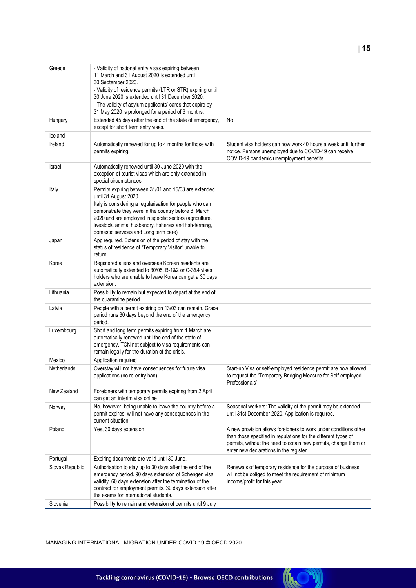| Greece          | - Validity of national entry visas expiring between<br>11 March and 31 August 2020 is extended until<br>30 September 2020.                                                                                                                                                                                                                                       |                                                                                                                                                                                                                                                  |
|-----------------|------------------------------------------------------------------------------------------------------------------------------------------------------------------------------------------------------------------------------------------------------------------------------------------------------------------------------------------------------------------|--------------------------------------------------------------------------------------------------------------------------------------------------------------------------------------------------------------------------------------------------|
|                 | - Validity of residence permits (LTR or STR) expiring until<br>30 June 2020 is extended until 31 December 2020.                                                                                                                                                                                                                                                  |                                                                                                                                                                                                                                                  |
|                 | - The validity of asylum applicants' cards that expire by<br>31 May 2020 is prolonged for a period of 6 months.                                                                                                                                                                                                                                                  |                                                                                                                                                                                                                                                  |
| Hungary         | Extended 45 days after the end of the state of emergency,<br>except for short term entry visas.                                                                                                                                                                                                                                                                  | No                                                                                                                                                                                                                                               |
| Iceland         |                                                                                                                                                                                                                                                                                                                                                                  |                                                                                                                                                                                                                                                  |
| Ireland         | Automatically renewed for up to 4 months for those with<br>permits expiring.                                                                                                                                                                                                                                                                                     | Student visa holders can now work 40 hours a week until further<br>notice. Persons unemployed due to COVID-19 can receive<br>COVID-19 pandemic unemployment benefits.                                                                            |
| Israel          | Automatically renewed until 30 June 2020 with the<br>exception of tourist visas which are only extended in<br>special circumstances.                                                                                                                                                                                                                             |                                                                                                                                                                                                                                                  |
| Italy           | Permits expiring between 31/01 and 15/03 are extended<br>until 31 August 2020<br>Italy is considering a regularisation for people who can<br>demonstrate they were in the country before 8 March<br>2020 and are employed in specific sectors (agriculture,<br>livestock, animal husbandry, fisheries and fish-farming,<br>domestic services and Long term care) |                                                                                                                                                                                                                                                  |
| Japan           | App required. Extension of the period of stay with the<br>status of residence of "Temporary Visitor" unable to<br>return.                                                                                                                                                                                                                                        |                                                                                                                                                                                                                                                  |
| Korea           | Registered aliens and overseas Korean residents are<br>automatically extended to 30/05. B-1&2 or C-3&4 visas<br>holders who are unable to leave Korea can get a 30 days<br>extension.                                                                                                                                                                            |                                                                                                                                                                                                                                                  |
| Lithuania       | Possibility to remain but expected to depart at the end of<br>the quarantine period                                                                                                                                                                                                                                                                              |                                                                                                                                                                                                                                                  |
| Latvia          | People with a permit expiring on 13/03 can remain. Grace<br>period runs 30 days beyond the end of the emergency<br>period.                                                                                                                                                                                                                                       |                                                                                                                                                                                                                                                  |
| Luxembourg      | Short and long term permits expiring from 1 March are<br>automatically renewed until the end of the state of<br>emergency. TCN not subject to visa requirements can<br>remain legally for the duration of the crisis.                                                                                                                                            |                                                                                                                                                                                                                                                  |
| Mexico          | Application required                                                                                                                                                                                                                                                                                                                                             |                                                                                                                                                                                                                                                  |
| Netherlands     | Overstay will not have consequences for future visa<br>applications (no re-entry ban)                                                                                                                                                                                                                                                                            | Start-up Visa or self-employed residence permit are now allowed<br>to request the 'Temporary Bridging Measure for Self-employed<br>Professionals'                                                                                                |
| New Zealand     | Foreigners with temporary permits expiring from 2 April<br>can get an interim visa online                                                                                                                                                                                                                                                                        |                                                                                                                                                                                                                                                  |
| Norway          | No, however, being unable to leave the country before a<br>permit expires, will not have any consequences in the<br>current situation.                                                                                                                                                                                                                           | Seasonal workers: The validity of the permit may be extended<br>until 31st December 2020. Application is required.                                                                                                                               |
| Poland          | Yes, 30 days extension                                                                                                                                                                                                                                                                                                                                           | A new provision allows foreigners to work under conditions other<br>than those specified in regulations for the different types of<br>permits, without the need to obtain new permits, change them or<br>enter new declarations in the register. |
| Portugal        | Expiring documents are valid until 30 June.                                                                                                                                                                                                                                                                                                                      |                                                                                                                                                                                                                                                  |
| Slovak Republic | Authorisation to stay up to 30 days after the end of the<br>emergency period. 90 days extension of Schengen visa<br>validity. 60 days extension after the termination of the<br>contract for employment permits. 30 days extension after<br>the exams for international students.                                                                                | Renewals of temporary residence for the purpose of business<br>will not be obliged to meet the requirement of minimum<br>income/profit for this year.                                                                                            |
| Slovenia        | Possibility to remain and extension of permits until 9 July                                                                                                                                                                                                                                                                                                      |                                                                                                                                                                                                                                                  |
|                 |                                                                                                                                                                                                                                                                                                                                                                  |                                                                                                                                                                                                                                                  |

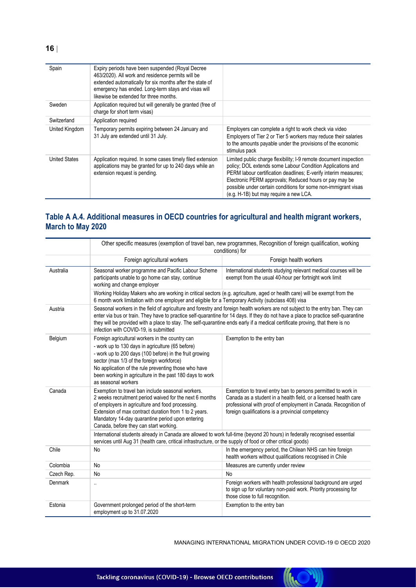| Spain                | Expiry periods have been suspended (Royal Decree<br>463/2020). All work and residence permits will be<br>extended automatically for six months after the state of<br>emergency has ended. Long-term stays and visas will<br>likewise be extended for three months. |                                                                                                                                                                                                                                                                                                                                                                          |
|----------------------|--------------------------------------------------------------------------------------------------------------------------------------------------------------------------------------------------------------------------------------------------------------------|--------------------------------------------------------------------------------------------------------------------------------------------------------------------------------------------------------------------------------------------------------------------------------------------------------------------------------------------------------------------------|
| Sweden               | Application required but will generally be granted (free of<br>charge for short term visas)                                                                                                                                                                        |                                                                                                                                                                                                                                                                                                                                                                          |
| Switzerland          | Application required                                                                                                                                                                                                                                               |                                                                                                                                                                                                                                                                                                                                                                          |
| United Kingdom       | Temporary permits expiring between 24 January and<br>31 July are extended until 31 July.                                                                                                                                                                           | Employers can complete a right to work check via video<br>Employers of Tier 2 or Tier 5 workers may reduce their salaries<br>to the amounts payable under the provisions of the economic<br>stimulus pack                                                                                                                                                                |
| <b>United States</b> | Application required. In some cases timely filed extension<br>applications may be granted for up to 240 days while an<br>extension request is pending.                                                                                                             | Limited public charge flexibility; I-9 remote document inspection<br>policy; DOL extends some Labour Condition Applications and<br>PERM labour certification deadlines; E-verify interim measures;<br>Electronic PERM approvals; Reduced hours or pay may be<br>possible under certain conditions for some non-immigrant visas<br>(e.g. H-1B) but may require a new LCA. |

### **Table A A.4. Additional measures in OECD countries for agricultural and health migrant workers, March to May 2020**

|            | Other specific measures (exemption of travel ban, new programmes, Recognition of foreign qualification, working<br>conditions) for                                                                                                                                                                                                                     |                                                                                                                                                                                                                                                                       |  |
|------------|--------------------------------------------------------------------------------------------------------------------------------------------------------------------------------------------------------------------------------------------------------------------------------------------------------------------------------------------------------|-----------------------------------------------------------------------------------------------------------------------------------------------------------------------------------------------------------------------------------------------------------------------|--|
|            | Foreign agricultural workers                                                                                                                                                                                                                                                                                                                           | Foreign health workers                                                                                                                                                                                                                                                |  |
| Australia  | Seasonal worker programme and Pacific Labour Scheme<br>participants unable to go home can stay, continue<br>working and change employer                                                                                                                                                                                                                | International students studying relevant medical courses will be<br>exempt from the usual 40-hour per fortnight work limit                                                                                                                                            |  |
|            | 6 month work limitation with one employer and eligible for a Temporary Activity (subclass 408) visa                                                                                                                                                                                                                                                    | Working Holiday Makers who are working in critical sectors (e.g. agriculture, aged or health care) will be exempt from the                                                                                                                                            |  |
| Austria    | they will be provided with a place to stay. The self-quarantine ends early if a medical certificate proving, that there is no<br>infection with COVID-19, is submitted                                                                                                                                                                                 | Seasonal workers in the field of agriculture and forestry and foreign health workers are not subject to the entry ban. They can<br>enter via bus or train. They have to practice self-quarantine for 14 days. If they do not have a place to practice self-quarantine |  |
| Belgium    | Foreign agricultural workers in the country can<br>- work up to 130 days in agriculture (65 before)<br>- work up to 200 days (100 before) in the fruit growing<br>sector (max 1/3 of the foreign workforce)<br>No application of the rule preventing those who have<br>been working in agriculture in the past 180 days to work<br>as seasonal workers | Exemption to the entry ban                                                                                                                                                                                                                                            |  |
| Canada     | Exemption to travel ban include seasonal workers.<br>2 weeks recruitment period waived for the next 6 months<br>of employers in agriculture and food processing.<br>Extension of max contract duration from 1 to 2 years.<br>Mandatory 14-day quarantine period upon entering<br>Canada, before they can start working.                                | Exemption to travel entry ban to persons permitted to work in<br>Canada as a student in a health field, or a licensed health care<br>professional with proof of employment in Canada. Recognition of<br>foreign qualifications is a provincial competency             |  |
|            | services until Aug 31 (health care, critical infrastructure, or the supply of food or other critical goods)                                                                                                                                                                                                                                            | International students already in Canada are allowed to work full-time (beyond 20 hours) in federally recognised essential                                                                                                                                            |  |
| Chile      | No                                                                                                                                                                                                                                                                                                                                                     | In the emergency period, the Chilean NHS can hire foreign<br>health workers without qualifications recognised in Chile                                                                                                                                                |  |
| Colombia   | No                                                                                                                                                                                                                                                                                                                                                     | Measures are currently under review                                                                                                                                                                                                                                   |  |
| Czech Rep. | No                                                                                                                                                                                                                                                                                                                                                     | No                                                                                                                                                                                                                                                                    |  |
| Denmark    | $\ddotsc$                                                                                                                                                                                                                                                                                                                                              | Foreign workers with health professional background are urged<br>to sign up for voluntary non-paid work. Priority processing for<br>those close to full recognition.                                                                                                  |  |
| Estonia    | Government prolonged period of the short-term<br>employment up to 31.07.2020                                                                                                                                                                                                                                                                           | Exemption to the entry ban                                                                                                                                                                                                                                            |  |

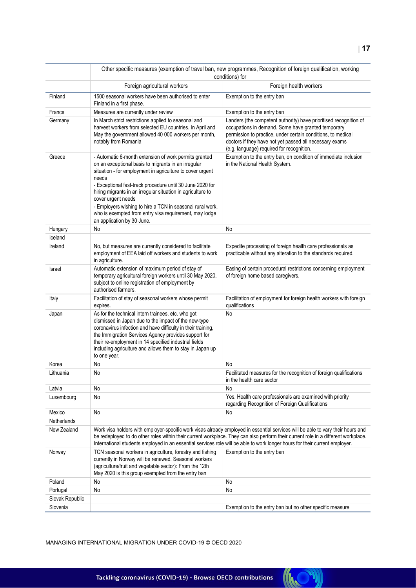|                 | Other specific measures (exemption of travel ban, new programmes, Recognition of foreign qualification, working<br>conditions) for                                                                                                                                                                                                                                                                                                                                                        |                                                                                                                                                                                                                                                                                                                                                                                                      |  |
|-----------------|-------------------------------------------------------------------------------------------------------------------------------------------------------------------------------------------------------------------------------------------------------------------------------------------------------------------------------------------------------------------------------------------------------------------------------------------------------------------------------------------|------------------------------------------------------------------------------------------------------------------------------------------------------------------------------------------------------------------------------------------------------------------------------------------------------------------------------------------------------------------------------------------------------|--|
|                 | Foreign agricultural workers                                                                                                                                                                                                                                                                                                                                                                                                                                                              | Foreign health workers                                                                                                                                                                                                                                                                                                                                                                               |  |
| Finland         | 1500 seasonal workers have been authorised to enter<br>Finland in a first phase.                                                                                                                                                                                                                                                                                                                                                                                                          | Exemption to the entry ban                                                                                                                                                                                                                                                                                                                                                                           |  |
| France          | Measures are currently under review                                                                                                                                                                                                                                                                                                                                                                                                                                                       | Exemption to the entry ban                                                                                                                                                                                                                                                                                                                                                                           |  |
| Germany         | In March strict restrictions applied to seasonal and<br>harvest workers from selected EU countries. In April and<br>May the government allowed 40 000 workers per month,<br>notably from Romania                                                                                                                                                                                                                                                                                          | Landers (the competent authority) have prioritised recognition of<br>occupations in demand. Some have granted temporary<br>permission to practice, under certain conditions, to medical<br>doctors if they have not yet passed all necessary exams<br>(e.g. language) required for recognition.                                                                                                      |  |
| Greece          | - Automatic 6-month extension of work permits granted<br>on an exceptional basis to migrants in an irregular<br>situation - for employment in agriculture to cover urgent<br>needs<br>- Exceptional fast-track procedure until 30 June 2020 for<br>hiring migrants in an irregular situation in agriculture to<br>cover urgent needs<br>- Employers wishing to hire a TCN in seasonal rural work,<br>who is exempted from entry visa requirement, may lodge<br>an application by 30 June. | Exemption to the entry ban, on condition of immediate inclusion<br>in the National Health System.                                                                                                                                                                                                                                                                                                    |  |
| Hungary         | No                                                                                                                                                                                                                                                                                                                                                                                                                                                                                        | No                                                                                                                                                                                                                                                                                                                                                                                                   |  |
| Iceland         |                                                                                                                                                                                                                                                                                                                                                                                                                                                                                           |                                                                                                                                                                                                                                                                                                                                                                                                      |  |
| Ireland         | No, but measures are currently considered to facilitate<br>employment of EEA laid off workers and students to work<br>in agriculture.                                                                                                                                                                                                                                                                                                                                                     | Expedite processing of foreign health care professionals as<br>practicable without any alteration to the standards required.                                                                                                                                                                                                                                                                         |  |
| Israel          | Automatic extension of maximum period of stay of<br>temporary agricultural foreign workers until 30 May 2020,<br>subject to online registration of employment by<br>authorised farmers.                                                                                                                                                                                                                                                                                                   | Easing of certain procedural restrictions concerning employment<br>of foreign home based caregivers.                                                                                                                                                                                                                                                                                                 |  |
| Italy           | Facilitation of stay of seasonal workers whose permit<br>expires.                                                                                                                                                                                                                                                                                                                                                                                                                         | Facilitation of employment for foreign health workers with foreign<br>qualifications                                                                                                                                                                                                                                                                                                                 |  |
| Japan           | As for the technical intern trainees, etc. who got<br>dismissed in Japan due to the impact of the new-type<br>coronavirus infection and have difficulty in their training,<br>the Immigration Services Agency provides support for<br>their re-employment in 14 specified industrial fields<br>including agriculture and allows them to stay in Japan up<br>to one year.                                                                                                                  | No                                                                                                                                                                                                                                                                                                                                                                                                   |  |
| Korea           | No                                                                                                                                                                                                                                                                                                                                                                                                                                                                                        | No                                                                                                                                                                                                                                                                                                                                                                                                   |  |
| Lithuania       | No                                                                                                                                                                                                                                                                                                                                                                                                                                                                                        | Facilitated measures for the recognition of foreign qualifications<br>in the health care sector                                                                                                                                                                                                                                                                                                      |  |
| Latvia          | No                                                                                                                                                                                                                                                                                                                                                                                                                                                                                        | No                                                                                                                                                                                                                                                                                                                                                                                                   |  |
| Luxembourg      | No                                                                                                                                                                                                                                                                                                                                                                                                                                                                                        | Yes. Health care professionals are examined with priority<br>regarding Recognition of Foreign Qualifications                                                                                                                                                                                                                                                                                         |  |
| Mexico          | No                                                                                                                                                                                                                                                                                                                                                                                                                                                                                        | No                                                                                                                                                                                                                                                                                                                                                                                                   |  |
| Netherlands     |                                                                                                                                                                                                                                                                                                                                                                                                                                                                                           |                                                                                                                                                                                                                                                                                                                                                                                                      |  |
| New Zealand     |                                                                                                                                                                                                                                                                                                                                                                                                                                                                                           | Work visa holders with employer-specific work visas already employed in essential services will be able to vary their hours and<br>be redeployed to do other roles within their current workplace. They can also perform their current role in a different workplace.<br>International students employed in an essential services role will be able to work longer hours for their current employer. |  |
| Norway          | TCN seasonal workers in agriculture, forestry and fishing<br>currently in Norway will be renewed. Seasonal workers<br>(agriculture/fruit and vegetable sector): From the 12th<br>May 2020 is this group exempted from the entry ban                                                                                                                                                                                                                                                       | Exemption to the entry ban                                                                                                                                                                                                                                                                                                                                                                           |  |
| Poland          | No                                                                                                                                                                                                                                                                                                                                                                                                                                                                                        | No                                                                                                                                                                                                                                                                                                                                                                                                   |  |
| Portugal        | <b>No</b>                                                                                                                                                                                                                                                                                                                                                                                                                                                                                 | No                                                                                                                                                                                                                                                                                                                                                                                                   |  |
| Slovak Republic |                                                                                                                                                                                                                                                                                                                                                                                                                                                                                           |                                                                                                                                                                                                                                                                                                                                                                                                      |  |
| Slovenia        |                                                                                                                                                                                                                                                                                                                                                                                                                                                                                           | Exemption to the entry ban but no other specific measure                                                                                                                                                                                                                                                                                                                                             |  |

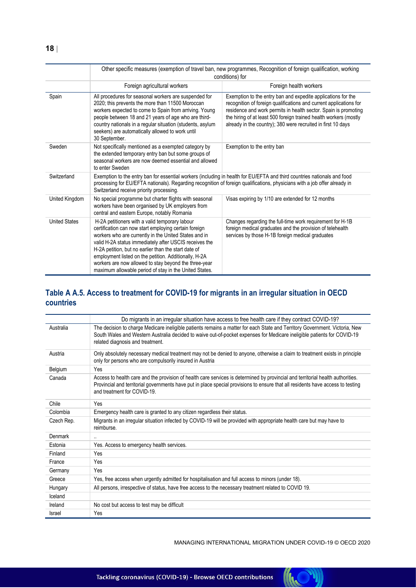|       |                                                                                                                                                                                                                                                                                            | Other specific measures (exemption of travel ban, new programmes, Recognition of foreign qualification, working<br>conditions) for                                                                                                                                                                                                        |
|-------|--------------------------------------------------------------------------------------------------------------------------------------------------------------------------------------------------------------------------------------------------------------------------------------------|-------------------------------------------------------------------------------------------------------------------------------------------------------------------------------------------------------------------------------------------------------------------------------------------------------------------------------------------|
|       | Foreign agricultural workers                                                                                                                                                                                                                                                               | Foreign health workers                                                                                                                                                                                                                                                                                                                    |
| Spain | All procedures for seasonal workers are suspended for<br>2020; this prevents the more than 11500 Moroccan<br>workers expected to come to Spain from arriving. Young<br>people between 18 and 21 years of age who are third-<br>country pationals in a requier situation (students, asylum) | Exemption to the entry ban and expedite applications for the<br>recognition of foreign qualifications and current applications for<br>residence and work permits in health sector. Spain is promotin<br>the hiring of at least 500 foreign trained health workers (mostly<br>already in the country): 380 were recruited in first 10 days |

| Spain                | All procedures for seasonal workers are suspended for<br>2020; this prevents the more than 11500 Moroccan<br>workers expected to come to Spain from arriving. Young<br>people between 18 and 21 years of age who are third-<br>country nationals in a regular situation (students, asylum<br>seekers) are automatically allowed to work until<br>30 September.                                                                                                 | Exemption to the entry ban and expedite applications for the<br>recognition of foreign qualifications and current applications for<br>residence and work permits in health sector. Spain is promoting<br>the hiring of at least 500 foreign trained health workers (mostly<br>already in the country); 380 were recruited in first 10 days |
|----------------------|----------------------------------------------------------------------------------------------------------------------------------------------------------------------------------------------------------------------------------------------------------------------------------------------------------------------------------------------------------------------------------------------------------------------------------------------------------------|--------------------------------------------------------------------------------------------------------------------------------------------------------------------------------------------------------------------------------------------------------------------------------------------------------------------------------------------|
| Sweden               | Not specifically mentioned as a exempted category by<br>the extended temporary entry ban but some groups of<br>seasonal workers are now deemed essential and allowed<br>to enter Sweden                                                                                                                                                                                                                                                                        | Exemption to the entry ban                                                                                                                                                                                                                                                                                                                 |
| Switzerland          | Switzerland receive priority processing.                                                                                                                                                                                                                                                                                                                                                                                                                       | Exemption to the entry ban for essential workers (including in health for EU/EFTA and third countries nationals and food<br>processing for EU/EFTA nationals). Regarding recognition of foreign qualifications, physicians with a job offer already in                                                                                     |
| United Kingdom       | No special programme but charter flights with seasonal<br>workers have been organised by UK employers from<br>central and eastern Europe, notably Romania                                                                                                                                                                                                                                                                                                      | Visas expiring by 1/10 are extended for 12 months                                                                                                                                                                                                                                                                                          |
| <b>United States</b> | H-2A petitioners with a valid temporary labour<br>certification can now start employing certain foreign<br>workers who are currently in the United States and in<br>valid H-2A status immediately after USCIS receives the<br>H-2A petition, but no earlier than the start date of<br>employment listed on the petition. Additionally, H-2A<br>workers are now allowed to stay beyond the three-year<br>maximum allowable period of stay in the United States. | Changes regarding the full-time work requirement for H-1B<br>foreign medical graduates and the provision of telehealth<br>services by those H-1B foreign medical graduates                                                                                                                                                                 |

#### **Table A A.5. Access to treatment for COVID-19 for migrants in an irregular situation in OECD countries**

|            | Do migrants in an irregular situation have access to free health care if they contract COVID-19?                                                                                                                                                                                                 |  |
|------------|--------------------------------------------------------------------------------------------------------------------------------------------------------------------------------------------------------------------------------------------------------------------------------------------------|--|
| Australia  | The decision to charge Medicare ineligible patients remains a matter for each State and Territory Government. Victoria, New<br>South Wales and Western Australia decided to waive out-of-pocket expenses for Medicare ineligible patients for COVID-19<br>related diagnosis and treatment.       |  |
| Austria    | Only absolutely necessary medical treatment may not be denied to anyone, otherwise a claim to treatment exists in principle<br>only for persons who are compulsorily insured in Austria                                                                                                          |  |
| Belgium    | Yes                                                                                                                                                                                                                                                                                              |  |
| Canada     | Access to health care and the provision of health care services is determined by provincial and territorial health authorities.<br>Provincial and territorial governments have put in place special provisions to ensure that all residents have access to testing<br>and treatment for COVID-19 |  |
| Chile      | Yes                                                                                                                                                                                                                                                                                              |  |
| Colombia   | Emergency health care is granted to any citizen regardless their status.                                                                                                                                                                                                                         |  |
| Czech Rep. | Migrants in an irregular situation infected by COVID-19 will be provided with appropriate health care but may have to<br>reimburse.                                                                                                                                                              |  |
| Denmark    | $\ddotsc$                                                                                                                                                                                                                                                                                        |  |
| Estonia    | Yes. Access to emergency health services.                                                                                                                                                                                                                                                        |  |
| Finland    | Yes                                                                                                                                                                                                                                                                                              |  |
| France     | Yes                                                                                                                                                                                                                                                                                              |  |
| Germany    | Yes                                                                                                                                                                                                                                                                                              |  |
| Greece     | Yes, free access when urgently admitted for hospitalisation and full access to minors (under 18).                                                                                                                                                                                                |  |
| Hungary    | All persons, irrespective of status, have free access to the necessary treatment related to COVID 19.                                                                                                                                                                                            |  |
| Iceland    |                                                                                                                                                                                                                                                                                                  |  |
| Ireland    | No cost but access to test may be difficult                                                                                                                                                                                                                                                      |  |
| Israel     | Yes                                                                                                                                                                                                                                                                                              |  |

MANAGING INTERNATIONAL MIGRATION UNDER COVID-19 © OECD 2020